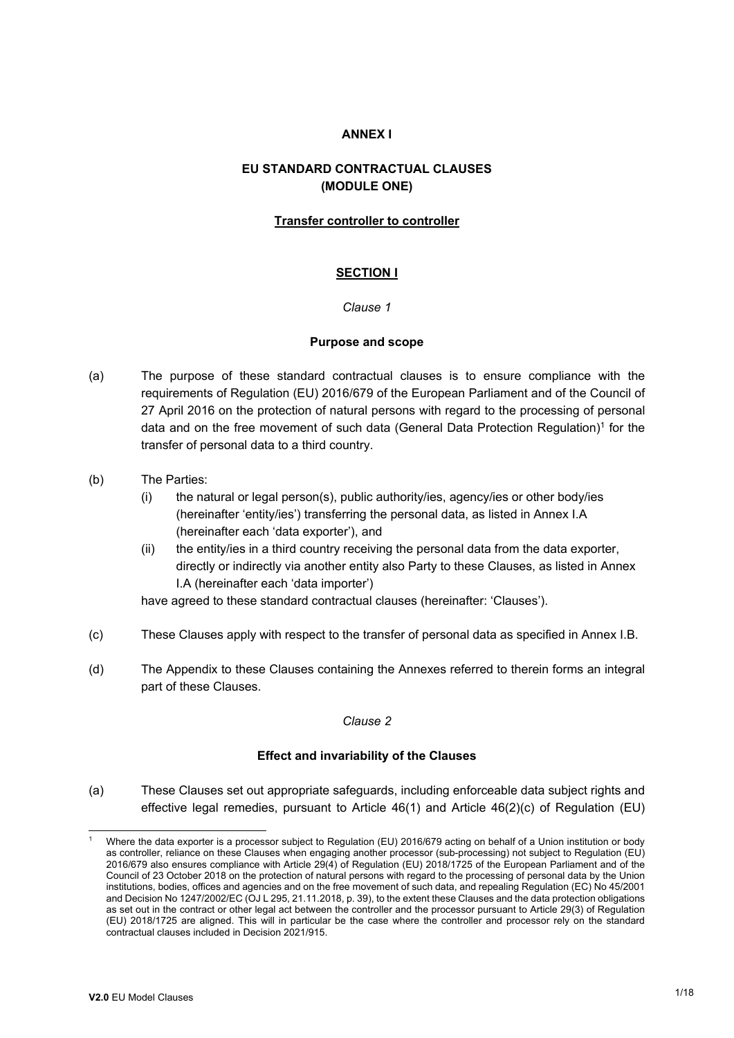### **ANNEX I**

# **EU STANDARD CONTRACTUAL CLAUSES (MODULE ONE)**

### **Transfer controller to controller**

### **SECTION I**

#### *Clause 1*

#### **Purpose and scope**

- (a) The purpose of these standard contractual clauses is to ensure compliance with the requirements of Regulation (EU) 2016/679 of the European Parliament and of the Council of 27 April 2016 on the protection of natural persons with regard to the processing of personal data and on the free movement of such data (General Data Protection Regulation)<sup>1</sup> for the transfer of personal data to a third country.
- (b) The Parties:
	- (i) the natural or legal person(s), public authority/ies, agency/ies or other body/ies (hereinafter 'entity/ies') transferring the personal data, as listed in Annex I.A (hereinafter each 'data exporter'), and
	- (ii) the entity/ies in a third country receiving the personal data from the data exporter, directly or indirectly via another entity also Party to these Clauses, as listed in Annex I.A (hereinafter each 'data importer')

have agreed to these standard contractual clauses (hereinafter: 'Clauses').

- (c) These Clauses apply with respect to the transfer of personal data as specified in Annex I.B.
- (d) The Appendix to these Clauses containing the Annexes referred to therein forms an integral part of these Clauses.

### *Clause 2*

#### **Effect and invariability of the Clauses**

(a) These Clauses set out appropriate safeguards, including enforceable data subject rights and effective legal remedies, pursuant to Article 46(1) and Article 46(2)(c) of Regulation (EU)

<sup>1</sup> Where the data exporter is a processor subject to Regulation (EU) 2016/679 acting on behalf of a Union institution or body as controller, reliance on these Clauses when engaging another processor (sub-processing) not subject to Regulation (EU) 2016/679 also ensures compliance with Article 29(4) of Regulation (EU) 2018/1725 of the European Parliament and of the Council of 23 October 2018 on the protection of natural persons with regard to the processing of personal data by the Union institutions, bodies, offices and agencies and on the free movement of such data, and repealing Regulation (EC) No 45/2001 and Decision No 1247/2002/EC (OJ L 295, 21.11.2018, p. 39), to the extent these Clauses and the data protection obligations as set out in the contract or other legal act between the controller and the processor pursuant to Article 29(3) of Regulation (EU) 2018/1725 are aligned. This will in particular be the case where the controller and processor rely on the standard contractual clauses included in Decision 2021/915.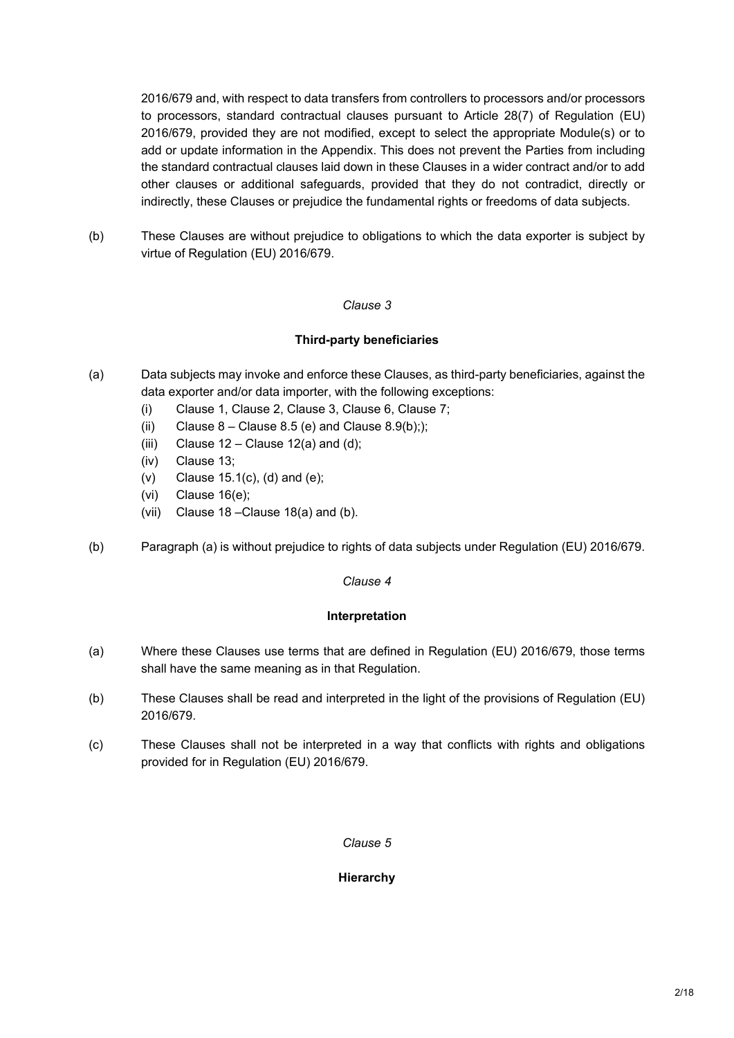2016/679 and, with respect to data transfers from controllers to processors and/or processors to processors, standard contractual clauses pursuant to Article 28(7) of Regulation (EU) 2016/679, provided they are not modified, except to select the appropriate Module(s) or to add or update information in the Appendix. This does not prevent the Parties from including the standard contractual clauses laid down in these Clauses in a wider contract and/or to add other clauses or additional safeguards, provided that they do not contradict, directly or indirectly, these Clauses or prejudice the fundamental rights or freedoms of data subjects.

(b) These Clauses are without prejudice to obligations to which the data exporter is subject by virtue of Regulation (EU) 2016/679.

# *Clause 3*

# **Third-party beneficiaries**

- (a) Data subjects may invoke and enforce these Clauses, as third-party beneficiaries, against the data exporter and/or data importer, with the following exceptions:
	- (i) Clause 1, Clause 2, Clause 3, Clause 6, Clause 7;
	- (ii) Clause  $8 -$  Clause  $8.5$  (e) and Clause  $8.9(b)$ ;);
	- (iii) Clause  $12 -$  Clause  $12(a)$  and  $(d)$ ;
	- (iv) Clause 13;
	- (v) Clause 15.1(c), (d) and (e);
	- (vi) Clause 16(e);
	- (vii) Clause 18 –Clause 18(a) and (b).
- (b) Paragraph (a) is without prejudice to rights of data subjects under Regulation (EU) 2016/679.

## *Clause 4*

## **Interpretation**

- (a) Where these Clauses use terms that are defined in Regulation (EU) 2016/679, those terms shall have the same meaning as in that Regulation.
- (b) These Clauses shall be read and interpreted in the light of the provisions of Regulation (EU) 2016/679.
- (c) These Clauses shall not be interpreted in a way that conflicts with rights and obligations provided for in Regulation (EU) 2016/679.

### *Clause 5*

## **Hierarchy**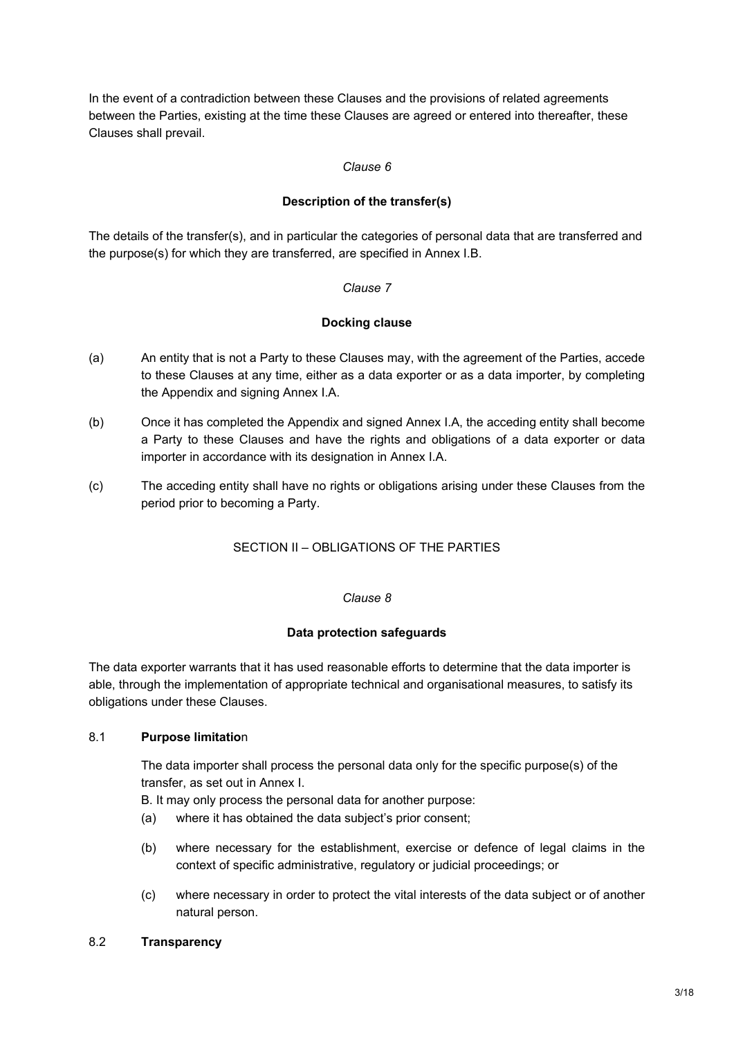In the event of a contradiction between these Clauses and the provisions of related agreements between the Parties, existing at the time these Clauses are agreed or entered into thereafter, these Clauses shall prevail.

### *Clause 6*

## **Description of the transfer(s)**

The details of the transfer(s), and in particular the categories of personal data that are transferred and the purpose(s) for which they are transferred, are specified in Annex I.B.

## *Clause 7*

## **Docking clause**

- (a) An entity that is not a Party to these Clauses may, with the agreement of the Parties, accede to these Clauses at any time, either as a data exporter or as a data importer, by completing the Appendix and signing Annex I.A.
- (b) Once it has completed the Appendix and signed Annex I.A, the acceding entity shall become a Party to these Clauses and have the rights and obligations of a data exporter or data importer in accordance with its designation in Annex I.A.
- (c) The acceding entity shall have no rights or obligations arising under these Clauses from the period prior to becoming a Party.

# SECTION II – OBLIGATIONS OF THE PARTIES

## *Clause 8*

## **Data protection safeguards**

The data exporter warrants that it has used reasonable efforts to determine that the data importer is able, through the implementation of appropriate technical and organisational measures, to satisfy its obligations under these Clauses.

## 8.1 **Purpose limitatio**n

The data importer shall process the personal data only for the specific purpose(s) of the transfer, as set out in Annex I.

B. It may only process the personal data for another purpose:

- (a) where it has obtained the data subject's prior consent;
- (b) where necessary for the establishment, exercise or defence of legal claims in the context of specific administrative, regulatory or judicial proceedings; or
- (c) where necessary in order to protect the vital interests of the data subject or of another natural person.

## 8.2 **Transparency**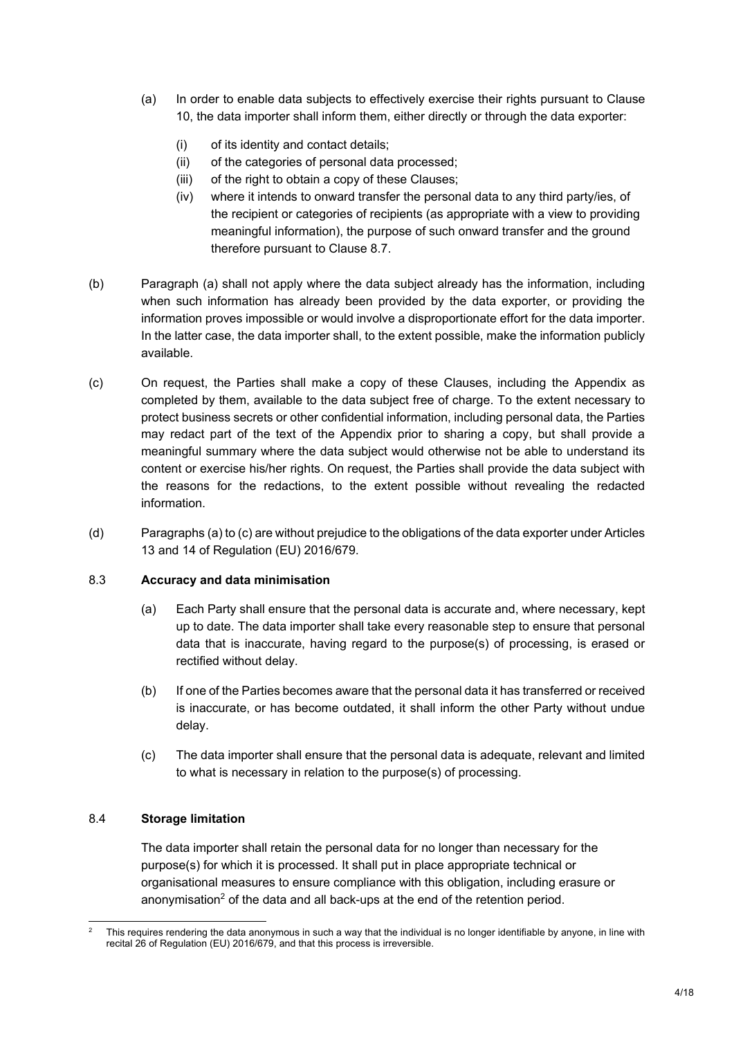- (a) In order to enable data subjects to effectively exercise their rights pursuant to Clause 10, the data importer shall inform them, either directly or through the data exporter:
	- (i) of its identity and contact details;
	- (ii) of the categories of personal data processed;
	- (iii) of the right to obtain a copy of these Clauses;
	- (iv) where it intends to onward transfer the personal data to any third party/ies, of the recipient or categories of recipients (as appropriate with a view to providing meaningful information), the purpose of such onward transfer and the ground therefore pursuant to Clause 8.7.
- (b) Paragraph (a) shall not apply where the data subject already has the information, including when such information has already been provided by the data exporter, or providing the information proves impossible or would involve a disproportionate effort for the data importer. In the latter case, the data importer shall, to the extent possible, make the information publicly available.
- (c) On request, the Parties shall make a copy of these Clauses, including the Appendix as completed by them, available to the data subject free of charge. To the extent necessary to protect business secrets or other confidential information, including personal data, the Parties may redact part of the text of the Appendix prior to sharing a copy, but shall provide a meaningful summary where the data subject would otherwise not be able to understand its content or exercise his/her rights. On request, the Parties shall provide the data subject with the reasons for the redactions, to the extent possible without revealing the redacted information.
- (d) Paragraphs (a) to (c) are without prejudice to the obligations of the data exporter under Articles 13 and 14 of Regulation (EU) 2016/679.

## 8.3 **Accuracy and data minimisation**

- (a) Each Party shall ensure that the personal data is accurate and, where necessary, kept up to date. The data importer shall take every reasonable step to ensure that personal data that is inaccurate, having regard to the purpose(s) of processing, is erased or rectified without delay.
- (b) If one of the Parties becomes aware that the personal data it has transferred or received is inaccurate, or has become outdated, it shall inform the other Party without undue delay.
- (c) The data importer shall ensure that the personal data is adequate, relevant and limited to what is necessary in relation to the purpose(s) of processing.

## 8.4 **Storage limitation**

The data importer shall retain the personal data for no longer than necessary for the purpose(s) for which it is processed. It shall put in place appropriate technical or organisational measures to ensure compliance with this obligation, including erasure or anonymisation<sup>2</sup> of the data and all back-ups at the end of the retention period.

<sup>2</sup> This requires rendering the data anonymous in such a way that the individual is no longer identifiable by anyone, in line with recital 26 of Regulation (EU) 2016/679, and that this process is irreversible.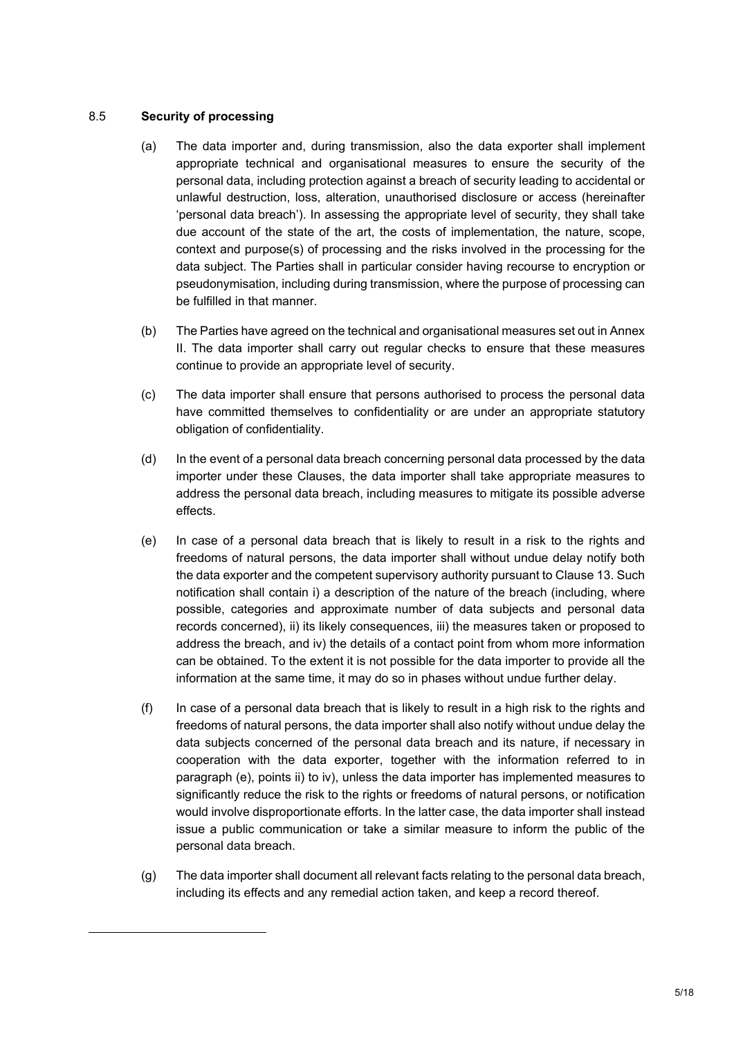# 8.5 **Security of processing**

- (a) The data importer and, during transmission, also the data exporter shall implement appropriate technical and organisational measures to ensure the security of the personal data, including protection against a breach of security leading to accidental or unlawful destruction, loss, alteration, unauthorised disclosure or access (hereinafter 'personal data breach'). In assessing the appropriate level of security, they shall take due account of the state of the art, the costs of implementation, the nature, scope, context and purpose(s) of processing and the risks involved in the processing for the data subject. The Parties shall in particular consider having recourse to encryption or pseudonymisation, including during transmission, where the purpose of processing can be fulfilled in that manner.
- (b) The Parties have agreed on the technical and organisational measures set out in Annex II. The data importer shall carry out regular checks to ensure that these measures continue to provide an appropriate level of security.
- (c) The data importer shall ensure that persons authorised to process the personal data have committed themselves to confidentiality or are under an appropriate statutory obligation of confidentiality.
- (d) In the event of a personal data breach concerning personal data processed by the data importer under these Clauses, the data importer shall take appropriate measures to address the personal data breach, including measures to mitigate its possible adverse effects.
- (e) In case of a personal data breach that is likely to result in a risk to the rights and freedoms of natural persons, the data importer shall without undue delay notify both the data exporter and the competent supervisory authority pursuant to Clause 13. Such notification shall contain i) a description of the nature of the breach (including, where possible, categories and approximate number of data subjects and personal data records concerned), ii) its likely consequences, iii) the measures taken or proposed to address the breach, and iv) the details of a contact point from whom more information can be obtained. To the extent it is not possible for the data importer to provide all the information at the same time, it may do so in phases without undue further delay.
- (f) In case of a personal data breach that is likely to result in a high risk to the rights and freedoms of natural persons, the data importer shall also notify without undue delay the data subjects concerned of the personal data breach and its nature, if necessary in cooperation with the data exporter, together with the information referred to in paragraph (e), points ii) to iv), unless the data importer has implemented measures to significantly reduce the risk to the rights or freedoms of natural persons, or notification would involve disproportionate efforts. In the latter case, the data importer shall instead issue a public communication or take a similar measure to inform the public of the personal data breach.
- (g) The data importer shall document all relevant facts relating to the personal data breach, including its effects and any remedial action taken, and keep a record thereof.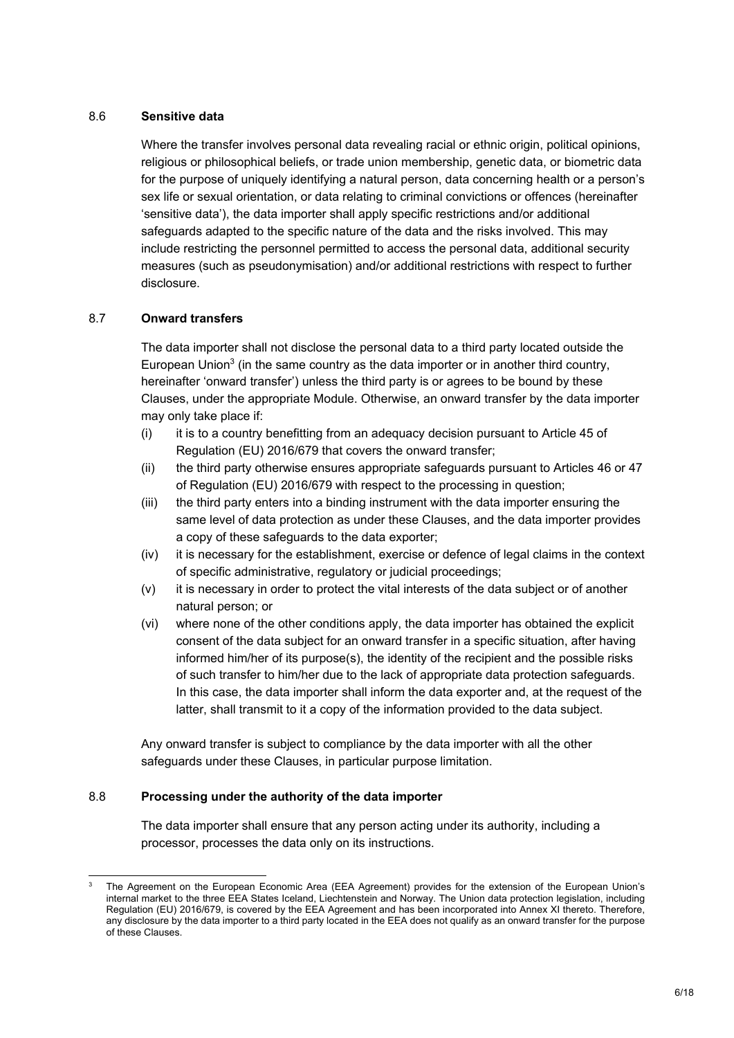## 8.6 **Sensitive data**

Where the transfer involves personal data revealing racial or ethnic origin, political opinions, religious or philosophical beliefs, or trade union membership, genetic data, or biometric data for the purpose of uniquely identifying a natural person, data concerning health or a person's sex life or sexual orientation, or data relating to criminal convictions or offences (hereinafter 'sensitive data'), the data importer shall apply specific restrictions and/or additional safeguards adapted to the specific nature of the data and the risks involved. This may include restricting the personnel permitted to access the personal data, additional security measures (such as pseudonymisation) and/or additional restrictions with respect to further disclosure.

# 8.7 **Onward transfers**

The data importer shall not disclose the personal data to a third party located outside the European Union<sup>3</sup> (in the same country as the data importer or in another third country, hereinafter 'onward transfer') unless the third party is or agrees to be bound by these Clauses, under the appropriate Module. Otherwise, an onward transfer by the data importer may only take place if:

- (i) it is to a country benefitting from an adequacy decision pursuant to Article 45 of Regulation (EU) 2016/679 that covers the onward transfer;
- (ii) the third party otherwise ensures appropriate safeguards pursuant to Articles 46 or 47 of Regulation (EU) 2016/679 with respect to the processing in question;
- (iii) the third party enters into a binding instrument with the data importer ensuring the same level of data protection as under these Clauses, and the data importer provides a copy of these safeguards to the data exporter;
- (iv) it is necessary for the establishment, exercise or defence of legal claims in the context of specific administrative, regulatory or judicial proceedings;
- (v) it is necessary in order to protect the vital interests of the data subject or of another natural person; or
- (vi) where none of the other conditions apply, the data importer has obtained the explicit consent of the data subject for an onward transfer in a specific situation, after having informed him/her of its purpose(s), the identity of the recipient and the possible risks of such transfer to him/her due to the lack of appropriate data protection safeguards. In this case, the data importer shall inform the data exporter and, at the request of the latter, shall transmit to it a copy of the information provided to the data subject.

Any onward transfer is subject to compliance by the data importer with all the other safeguards under these Clauses, in particular purpose limitation.

## 8.8 **Processing under the authority of the data importer**

The data importer shall ensure that any person acting under its authority, including a processor, processes the data only on its instructions.

<sup>3</sup> The Agreement on the European Economic Area (EEA Agreement) provides for the extension of the European Union's internal market to the three EEA States Iceland, Liechtenstein and Norway. The Union data protection legislation, including Regulation (EU) 2016/679, is covered by the EEA Agreement and has been incorporated into Annex XI thereto. Therefore, any disclosure by the data importer to a third party located in the EEA does not qualify as an onward transfer for the purpose of these Clauses.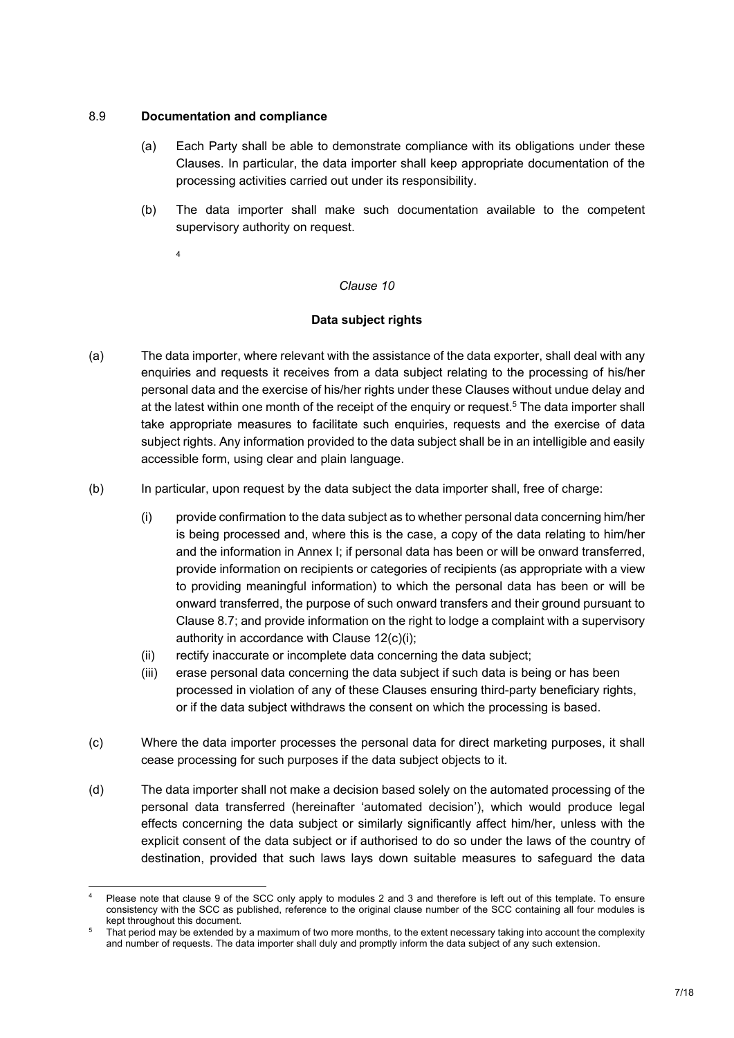## 8.9 **Documentation and compliance**

- (a) Each Party shall be able to demonstrate compliance with its obligations under these Clauses. In particular, the data importer shall keep appropriate documentation of the processing activities carried out under its responsibility.
- (b) The data importer shall make such documentation available to the competent supervisory authority on request.

4

## *Clause 10*

# **Data subject rights**

- (a) The data importer, where relevant with the assistance of the data exporter, shall deal with any enquiries and requests it receives from a data subject relating to the processing of his/her personal data and the exercise of his/her rights under these Clauses without undue delay and at the latest within one month of the receipt of the enquiry or request.<sup>5</sup> The data importer shall take appropriate measures to facilitate such enquiries, requests and the exercise of data subject rights. Any information provided to the data subject shall be in an intelligible and easily accessible form, using clear and plain language.
- (b) In particular, upon request by the data subject the data importer shall, free of charge:
	- (i) provide confirmation to the data subject as to whether personal data concerning him/her is being processed and, where this is the case, a copy of the data relating to him/her and the information in Annex I; if personal data has been or will be onward transferred, provide information on recipients or categories of recipients (as appropriate with a view to providing meaningful information) to which the personal data has been or will be onward transferred, the purpose of such onward transfers and their ground pursuant to Clause 8.7; and provide information on the right to lodge a complaint with a supervisory authority in accordance with Clause 12(c)(i);
	- (ii) rectify inaccurate or incomplete data concerning the data subject;
	- (iii) erase personal data concerning the data subject if such data is being or has been processed in violation of any of these Clauses ensuring third-party beneficiary rights, or if the data subject withdraws the consent on which the processing is based.
- (c) Where the data importer processes the personal data for direct marketing purposes, it shall cease processing for such purposes if the data subject objects to it.
- (d) The data importer shall not make a decision based solely on the automated processing of the personal data transferred (hereinafter 'automated decision'), which would produce legal effects concerning the data subject or similarly significantly affect him/her, unless with the explicit consent of the data subject or if authorised to do so under the laws of the country of destination, provided that such laws lays down suitable measures to safeguard the data

<sup>4</sup> Please note that clause 9 of the SCC only apply to modules 2 and 3 and therefore is left out of this template. To ensure consistency with the SCC as published, reference to the original clause number of the SCC containing all four modules is kept throughout this document.

That period may be extended by a maximum of two more months, to the extent necessary taking into account the complexity and number of requests. The data importer shall duly and promptly inform the data subject of any such extension.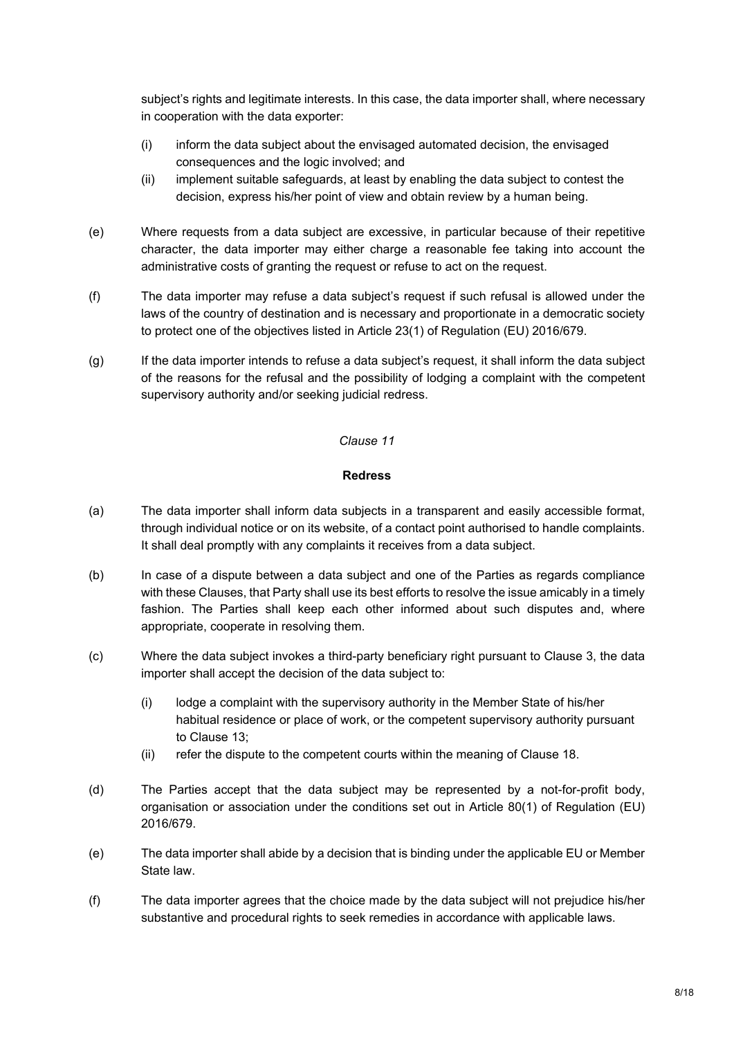subject's rights and legitimate interests. In this case, the data importer shall, where necessary in cooperation with the data exporter:

- (i) inform the data subject about the envisaged automated decision, the envisaged consequences and the logic involved; and
- (ii) implement suitable safeguards, at least by enabling the data subject to contest the decision, express his/her point of view and obtain review by a human being.
- (e) Where requests from a data subject are excessive, in particular because of their repetitive character, the data importer may either charge a reasonable fee taking into account the administrative costs of granting the request or refuse to act on the request.
- (f) The data importer may refuse a data subject's request if such refusal is allowed under the laws of the country of destination and is necessary and proportionate in a democratic society to protect one of the objectives listed in Article 23(1) of Regulation (EU) 2016/679.
- (g) If the data importer intends to refuse a data subject's request, it shall inform the data subject of the reasons for the refusal and the possibility of lodging a complaint with the competent supervisory authority and/or seeking judicial redress.

# *Clause 11*

## **Redress**

- (a) The data importer shall inform data subjects in a transparent and easily accessible format, through individual notice or on its website, of a contact point authorised to handle complaints. It shall deal promptly with any complaints it receives from a data subject.
- (b) In case of a dispute between a data subject and one of the Parties as regards compliance with these Clauses, that Party shall use its best efforts to resolve the issue amicably in a timely fashion. The Parties shall keep each other informed about such disputes and, where appropriate, cooperate in resolving them.
- (c) Where the data subject invokes a third-party beneficiary right pursuant to Clause 3, the data importer shall accept the decision of the data subject to:
	- (i) lodge a complaint with the supervisory authority in the Member State of his/her habitual residence or place of work, or the competent supervisory authority pursuant to Clause 13;
	- (ii) refer the dispute to the competent courts within the meaning of Clause 18.
- (d) The Parties accept that the data subject may be represented by a not-for-profit body, organisation or association under the conditions set out in Article 80(1) of Regulation (EU) 2016/679.
- (e) The data importer shall abide by a decision that is binding under the applicable EU or Member State law.
- (f) The data importer agrees that the choice made by the data subject will not prejudice his/her substantive and procedural rights to seek remedies in accordance with applicable laws.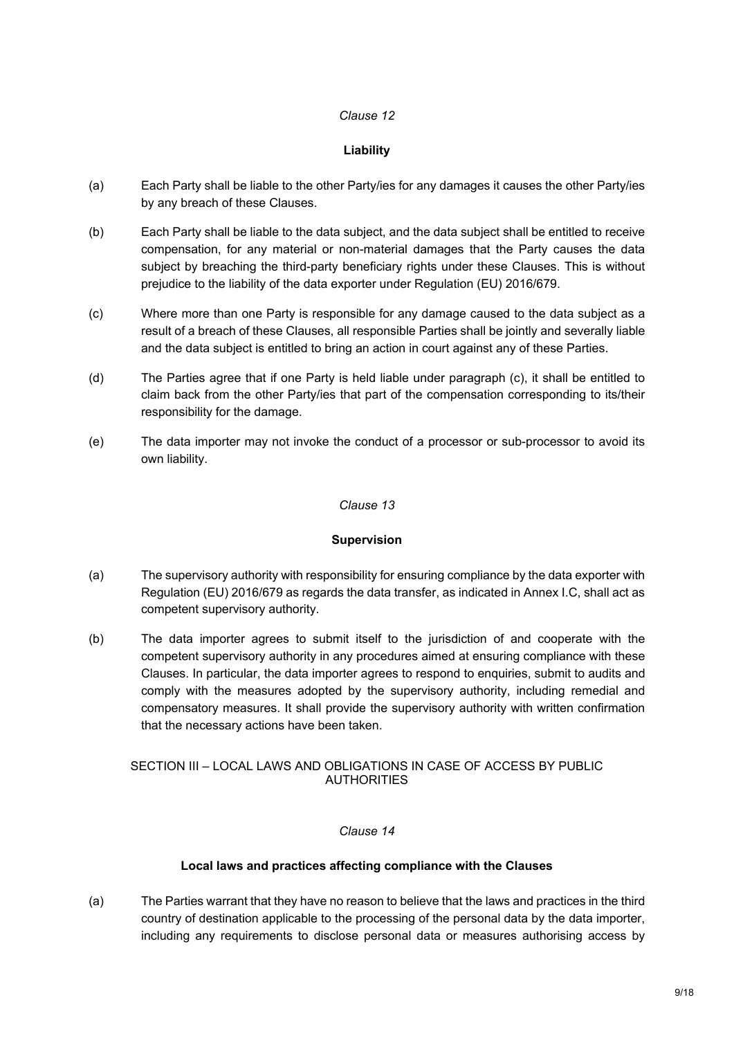# *Clause 12*

# **Liability**

- (a) Each Party shall be liable to the other Party/ies for any damages it causes the other Party/ies by any breach of these Clauses.
- (b) Each Party shall be liable to the data subject, and the data subject shall be entitled to receive compensation, for any material or non-material damages that the Party causes the data subject by breaching the third-party beneficiary rights under these Clauses. This is without prejudice to the liability of the data exporter under Regulation (EU) 2016/679.
- (c) Where more than one Party is responsible for any damage caused to the data subject as a result of a breach of these Clauses, all responsible Parties shall be jointly and severally liable and the data subject is entitled to bring an action in court against any of these Parties.
- (d) The Parties agree that if one Party is held liable under paragraph (c), it shall be entitled to claim back from the other Party/ies that part of the compensation corresponding to its/their responsibility for the damage.
- (e) The data importer may not invoke the conduct of a processor or sub-processor to avoid its own liability.

# *Clause 13*

## **Supervision**

- (a) The supervisory authority with responsibility for ensuring compliance by the data exporter with Regulation (EU) 2016/679 as regards the data transfer, as indicated in Annex I.C, shall act as competent supervisory authority.
- (b) The data importer agrees to submit itself to the jurisdiction of and cooperate with the competent supervisory authority in any procedures aimed at ensuring compliance with these Clauses. In particular, the data importer agrees to respond to enquiries, submit to audits and comply with the measures adopted by the supervisory authority, including remedial and compensatory measures. It shall provide the supervisory authority with written confirmation that the necessary actions have been taken.

# SECTION III – LOCAL LAWS AND OBLIGATIONS IN CASE OF ACCESS BY PUBLIC **AUTHORITIES**

## *Clause 14*

## **Local laws and practices affecting compliance with the Clauses**

(a) The Parties warrant that they have no reason to believe that the laws and practices in the third country of destination applicable to the processing of the personal data by the data importer, including any requirements to disclose personal data or measures authorising access by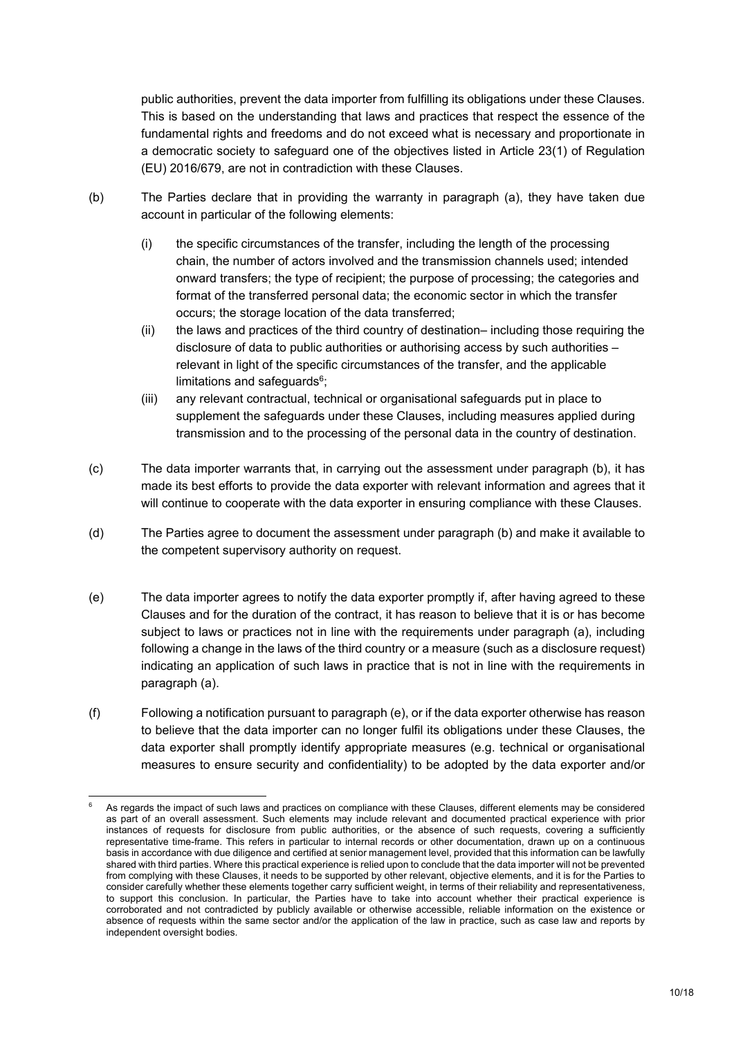public authorities, prevent the data importer from fulfilling its obligations under these Clauses. This is based on the understanding that laws and practices that respect the essence of the fundamental rights and freedoms and do not exceed what is necessary and proportionate in a democratic society to safeguard one of the objectives listed in Article 23(1) of Regulation (EU) 2016/679, are not in contradiction with these Clauses.

- (b) The Parties declare that in providing the warranty in paragraph (a), they have taken due account in particular of the following elements:
	- (i) the specific circumstances of the transfer, including the length of the processing chain, the number of actors involved and the transmission channels used; intended onward transfers; the type of recipient; the purpose of processing; the categories and format of the transferred personal data; the economic sector in which the transfer occurs; the storage location of the data transferred;
	- (ii) the laws and practices of the third country of destination– including those requiring the disclosure of data to public authorities or authorising access by such authorities – relevant in light of the specific circumstances of the transfer, and the applicable limitations and safeguards $6$ ;
	- (iii) any relevant contractual, technical or organisational safeguards put in place to supplement the safeguards under these Clauses, including measures applied during transmission and to the processing of the personal data in the country of destination.
- (c) The data importer warrants that, in carrying out the assessment under paragraph (b), it has made its best efforts to provide the data exporter with relevant information and agrees that it will continue to cooperate with the data exporter in ensuring compliance with these Clauses.
- (d) The Parties agree to document the assessment under paragraph (b) and make it available to the competent supervisory authority on request.
- (e) The data importer agrees to notify the data exporter promptly if, after having agreed to these Clauses and for the duration of the contract, it has reason to believe that it is or has become subject to laws or practices not in line with the requirements under paragraph (a), including following a change in the laws of the third country or a measure (such as a disclosure request) indicating an application of such laws in practice that is not in line with the requirements in paragraph (a).
- (f) Following a notification pursuant to paragraph (e), or if the data exporter otherwise has reason to believe that the data importer can no longer fulfil its obligations under these Clauses, the data exporter shall promptly identify appropriate measures (e.g. technical or organisational measures to ensure security and confidentiality) to be adopted by the data exporter and/or

<sup>6</sup> As regards the impact of such laws and practices on compliance with these Clauses, different elements may be considered as part of an overall assessment. Such elements may include relevant and documented practical experience with prior instances of requests for disclosure from public authorities, or the absence of such requests, covering a sufficiently representative time-frame. This refers in particular to internal records or other documentation, drawn up on a continuous basis in accordance with due diligence and certified at senior management level, provided that this information can be lawfully shared with third parties. Where this practical experience is relied upon to conclude that the data importer will not be prevented from complying with these Clauses, it needs to be supported by other relevant, objective elements, and it is for the Parties to consider carefully whether these elements together carry sufficient weight, in terms of their reliability and representativeness, to support this conclusion. In particular, the Parties have to take into account whether their practical experience is corroborated and not contradicted by publicly available or otherwise accessible, reliable information on the existence or absence of requests within the same sector and/or the application of the law in practice, such as case law and reports by independent oversight bodies.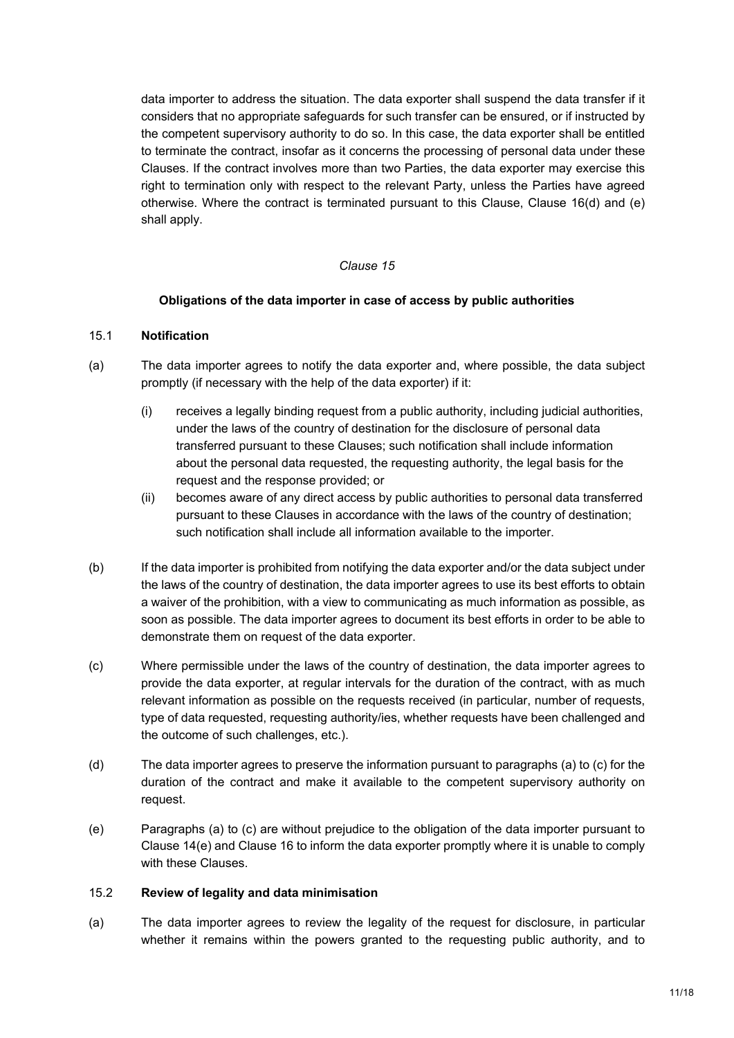data importer to address the situation. The data exporter shall suspend the data transfer if it considers that no appropriate safeguards for such transfer can be ensured, or if instructed by the competent supervisory authority to do so. In this case, the data exporter shall be entitled to terminate the contract, insofar as it concerns the processing of personal data under these Clauses. If the contract involves more than two Parties, the data exporter may exercise this right to termination only with respect to the relevant Party, unless the Parties have agreed otherwise. Where the contract is terminated pursuant to this Clause, Clause 16(d) and (e) shall apply.

### *Clause 15*

## **Obligations of the data importer in case of access by public authorities**

### 15.1 **Notification**

- (a) The data importer agrees to notify the data exporter and, where possible, the data subject promptly (if necessary with the help of the data exporter) if it:
	- (i) receives a legally binding request from a public authority, including judicial authorities, under the laws of the country of destination for the disclosure of personal data transferred pursuant to these Clauses; such notification shall include information about the personal data requested, the requesting authority, the legal basis for the request and the response provided; or
	- (ii) becomes aware of any direct access by public authorities to personal data transferred pursuant to these Clauses in accordance with the laws of the country of destination; such notification shall include all information available to the importer.
- (b) If the data importer is prohibited from notifying the data exporter and/or the data subject under the laws of the country of destination, the data importer agrees to use its best efforts to obtain a waiver of the prohibition, with a view to communicating as much information as possible, as soon as possible. The data importer agrees to document its best efforts in order to be able to demonstrate them on request of the data exporter.
- (c) Where permissible under the laws of the country of destination, the data importer agrees to provide the data exporter, at regular intervals for the duration of the contract, with as much relevant information as possible on the requests received (in particular, number of requests, type of data requested, requesting authority/ies, whether requests have been challenged and the outcome of such challenges, etc.).
- (d) The data importer agrees to preserve the information pursuant to paragraphs (a) to (c) for the duration of the contract and make it available to the competent supervisory authority on request.
- (e) Paragraphs (a) to (c) are without prejudice to the obligation of the data importer pursuant to Clause 14(e) and Clause 16 to inform the data exporter promptly where it is unable to comply with these Clauses.

#### 15.2 **Review of legality and data minimisation**

(a) The data importer agrees to review the legality of the request for disclosure, in particular whether it remains within the powers granted to the requesting public authority, and to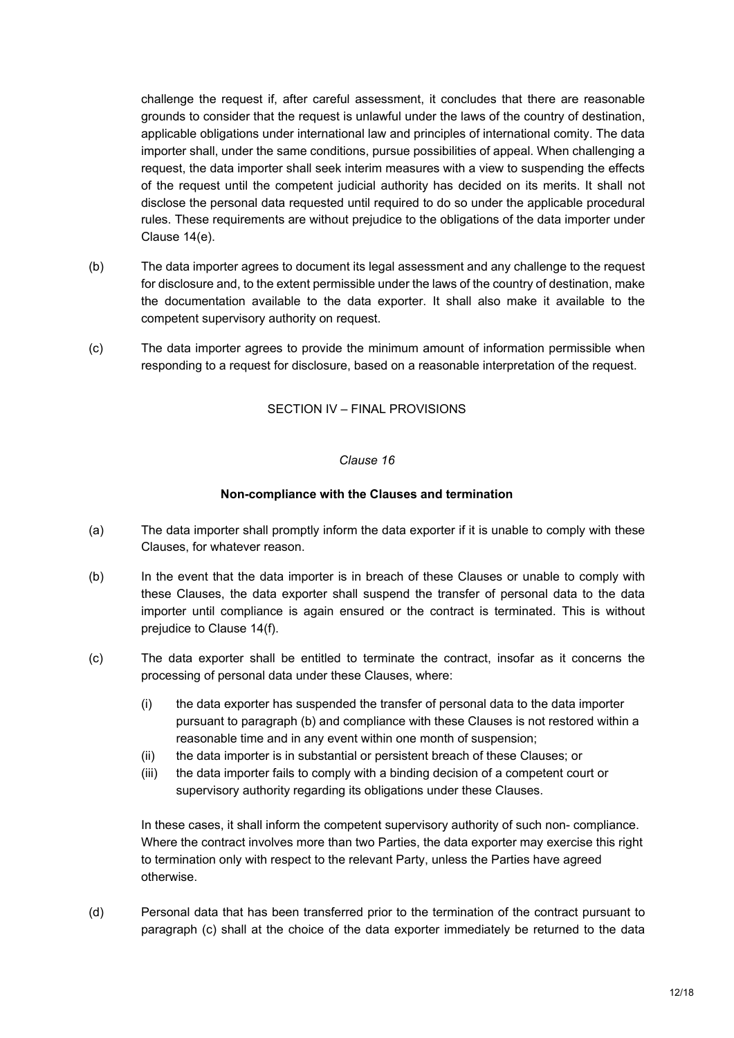challenge the request if, after careful assessment, it concludes that there are reasonable grounds to consider that the request is unlawful under the laws of the country of destination, applicable obligations under international law and principles of international comity. The data importer shall, under the same conditions, pursue possibilities of appeal. When challenging a request, the data importer shall seek interim measures with a view to suspending the effects of the request until the competent judicial authority has decided on its merits. It shall not disclose the personal data requested until required to do so under the applicable procedural rules. These requirements are without prejudice to the obligations of the data importer under Clause 14(e).

- (b) The data importer agrees to document its legal assessment and any challenge to the request for disclosure and, to the extent permissible under the laws of the country of destination, make the documentation available to the data exporter. It shall also make it available to the competent supervisory authority on request.
- (c) The data importer agrees to provide the minimum amount of information permissible when responding to a request for disclosure, based on a reasonable interpretation of the request.

# SECTION IV – FINAL PROVISIONS

### *Clause 16*

### **Non-compliance with the Clauses and termination**

- (a) The data importer shall promptly inform the data exporter if it is unable to comply with these Clauses, for whatever reason.
- (b) In the event that the data importer is in breach of these Clauses or unable to comply with these Clauses, the data exporter shall suspend the transfer of personal data to the data importer until compliance is again ensured or the contract is terminated. This is without prejudice to Clause 14(f).
- (c) The data exporter shall be entitled to terminate the contract, insofar as it concerns the processing of personal data under these Clauses, where:
	- (i) the data exporter has suspended the transfer of personal data to the data importer pursuant to paragraph (b) and compliance with these Clauses is not restored within a reasonable time and in any event within one month of suspension;
	- (ii) the data importer is in substantial or persistent breach of these Clauses; or
	- (iii) the data importer fails to comply with a binding decision of a competent court or supervisory authority regarding its obligations under these Clauses.

In these cases, it shall inform the competent supervisory authority of such non- compliance. Where the contract involves more than two Parties, the data exporter may exercise this right to termination only with respect to the relevant Party, unless the Parties have agreed otherwise.

(d) Personal data that has been transferred prior to the termination of the contract pursuant to paragraph (c) shall at the choice of the data exporter immediately be returned to the data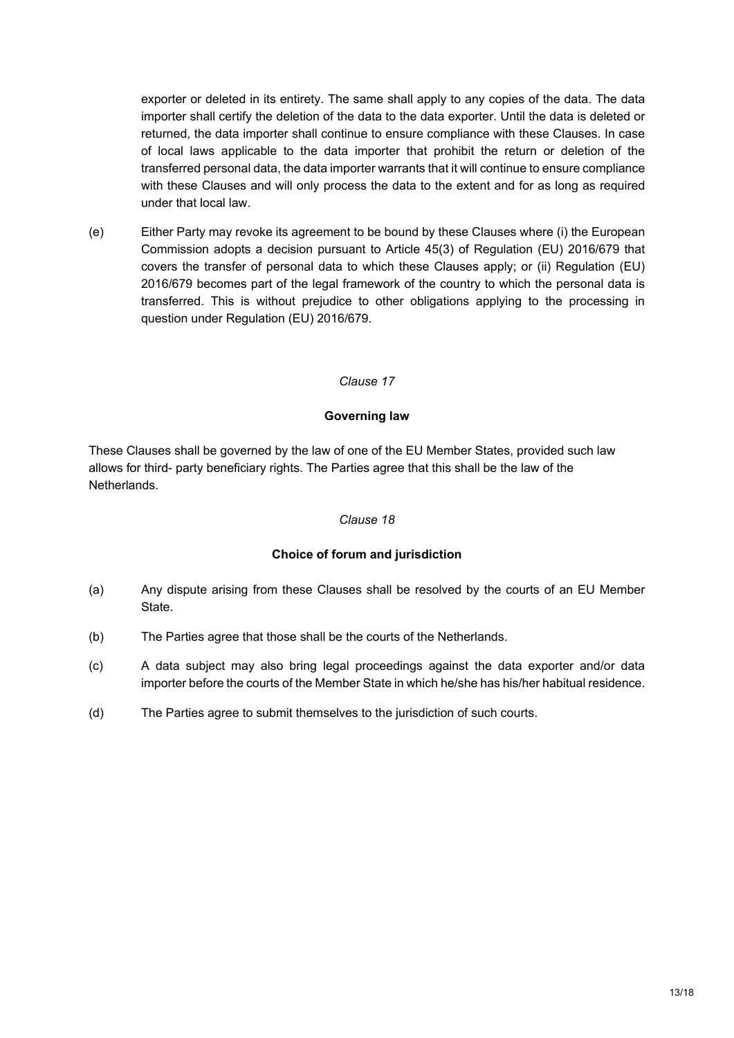exporter or deleted in its entirety. The same shall apply to any copies of the data. The data importer shall certify the deletion of the data to the data exporter. Until the data is deleted or returned, the data importer shall continue to ensure compliance with these Clauses. In case of local laws applicable to the data importer that prohibit the return or deletion of the transferred personal data, the data importer warrants that it will continue to ensure compliance with these Clauses and will only process the data to the extent and for as long as required under that local law.

(e) Either Party may revoke its agreement to be bound by these Clauses where (i) the European Commission adopts a decision pursuant to Article 45(3) of Regulation (EU) 2016/679 that covers the transfer of personal data to which these Clauses apply; or (ii) Regulation (EU) 2016/679 becomes part of the legal framework of the country to which the personal data is transferred. This is without prejudice to other obligations applying to the processing in question under Regulation (EU) 2016/679.

## *Clause 17*

# **Governing law**

These Clauses shall be governed by the law of one of the EU Member States, provided such law allows for third- party beneficiary rights. The Parties agree that this shall be the law of the **Netherlands** 

## *Clause 18*

## **Choice of forum and jurisdiction**

- (a) Any dispute arising from these Clauses shall be resolved by the courts of an EU Member State.
- (b) The Parties agree that those shall be the courts of the Netherlands.
- (c) A data subject may also bring legal proceedings against the data exporter and/or data importer before the courts of the Member State in which he/she has his/her habitual residence.
- (d) The Parties agree to submit themselves to the jurisdiction of such courts.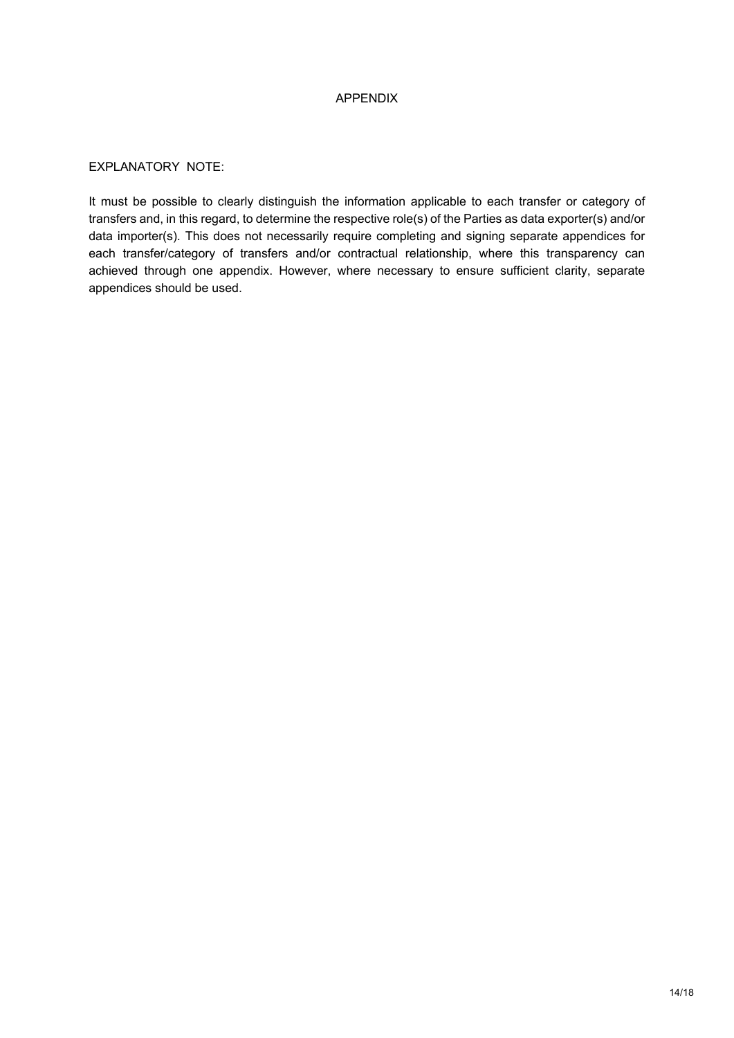## APPENDIX

EXPLANATORY NOTE:

It must be possible to clearly distinguish the information applicable to each transfer or category of transfers and, in this regard, to determine the respective role(s) of the Parties as data exporter(s) and/or data importer(s). This does not necessarily require completing and signing separate appendices for each transfer/category of transfers and/or contractual relationship, where this transparency can achieved through one appendix. However, where necessary to ensure sufficient clarity, separate appendices should be used.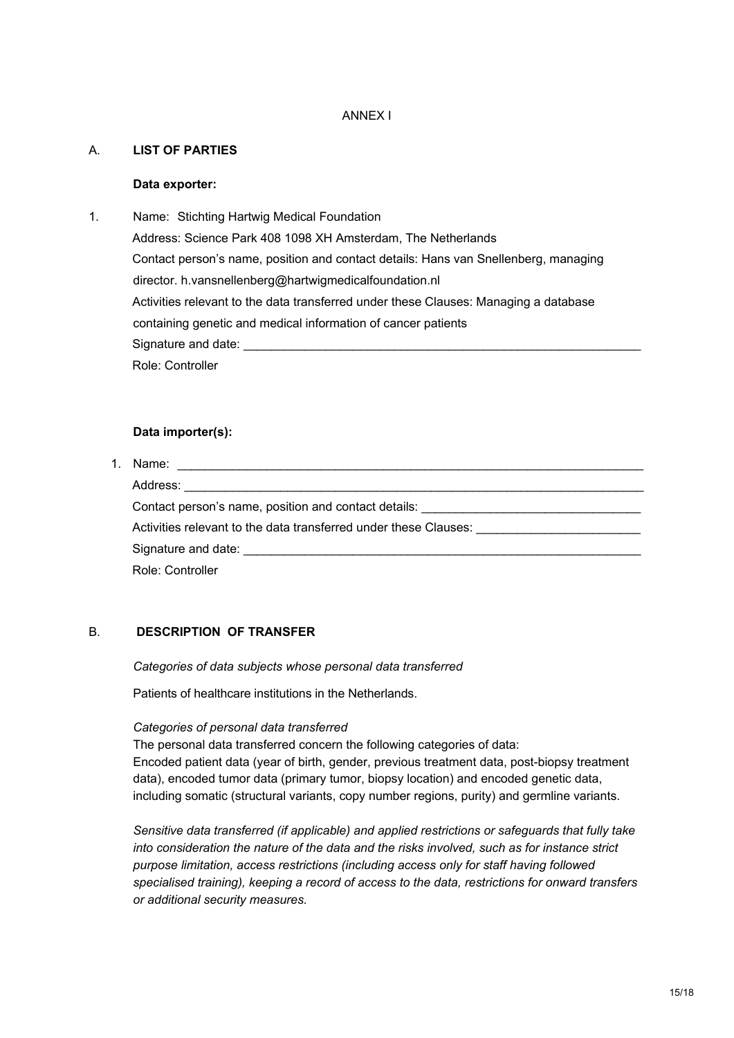# ANNEX I

### A. **LIST OF PARTIES**

#### **Data exporter:**

1. Name: Stichting Hartwig Medical Foundation Address: Science Park 408 1098 XH Amsterdam, The Netherlands Contact person's name, position and contact details: Hans van Snellenberg, managing director. h.vansnellenberg@hartwigmedicalfoundation.nl Activities relevant to the data transferred under these Clauses: Managing a database containing genetic and medical information of cancer patients Signature and date: Role: Controller

### **Data importer(s):**

| Name:                                                            |
|------------------------------------------------------------------|
| Address:                                                         |
| Contact person's name, position and contact details:             |
| Activities relevant to the data transferred under these Clauses: |
| Signature and date:                                              |

Role: Controller

### B. **DESCRIPTION OF TRANSFER**

*Categories of data subjects whose personal data transferred* 

Patients of healthcare institutions in the Netherlands.

#### *Categories of personal data transferred*

The personal data transferred concern the following categories of data: Encoded patient data (year of birth, gender, previous treatment data, post-biopsy treatment data), encoded tumor data (primary tumor, biopsy location) and encoded genetic data, including somatic (structural variants, copy number regions, purity) and germline variants.

*Sensitive data transferred (if applicable) and applied restrictions or safeguards that fully take into consideration the nature of the data and the risks involved, such as for instance strict purpose limitation, access restrictions (including access only for staff having followed specialised training), keeping a record of access to the data, restrictions for onward transfers or additional security measures.*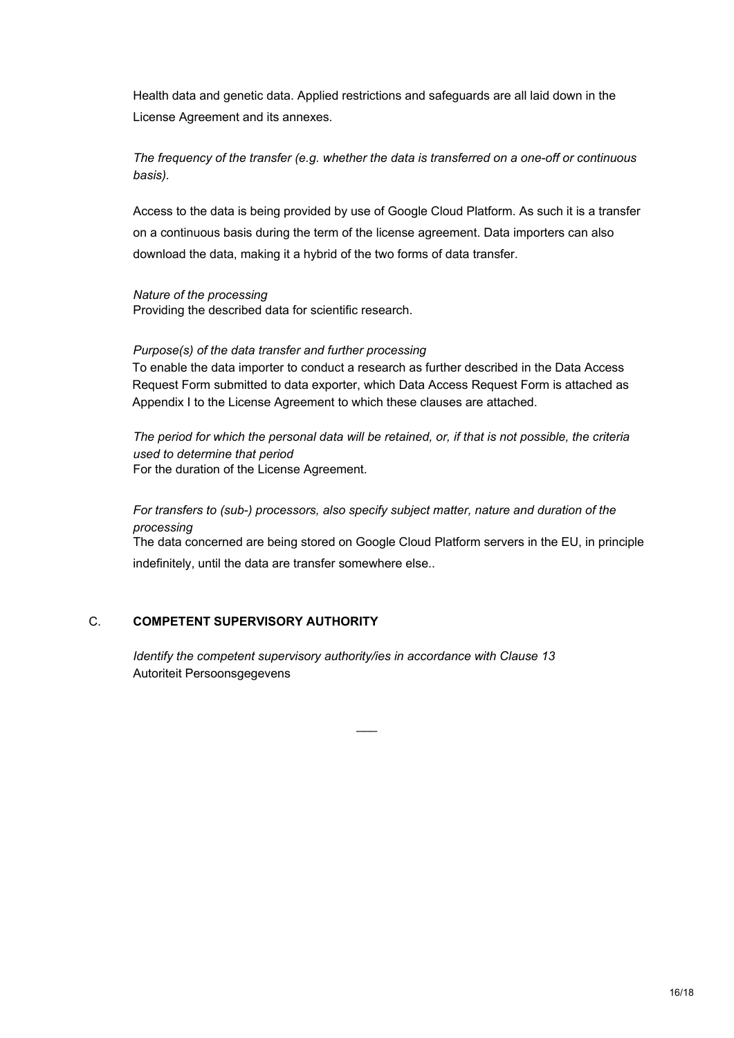Health data and genetic data. Applied restrictions and safeguards are all laid down in the License Agreement and its annexes.

*The frequency of the transfer (e.g. whether the data is transferred on a one-off or continuous basis).* 

Access to the data is being provided by use of Google Cloud Platform. As such it is a transfer on a continuous basis during the term of the license agreement. Data importers can also download the data, making it a hybrid of the two forms of data transfer.

### *Nature of the processing*

Providing the described data for scientific research.

## *Purpose(s) of the data transfer and further processing*

To enable the data importer to conduct a research as further described in the Data Access Request Form submitted to data exporter, which Data Access Request Form is attached as Appendix I to the License Agreement to which these clauses are attached.

*The period for which the personal data will be retained, or, if that is not possible, the criteria used to determine that period*  For the duration of the License Agreement.

*For transfers to (sub-) processors, also specify subject matter, nature and duration of the processing* 

The data concerned are being stored on Google Cloud Platform servers in the EU, in principle indefinitely, until the data are transfer somewhere else..

# C. **COMPETENT SUPERVISORY AUTHORITY**

*Identify the competent supervisory authority/ies in accordance with Clause 13*  Autoriteit Persoonsgegevens

 $\overline{\phantom{a}}$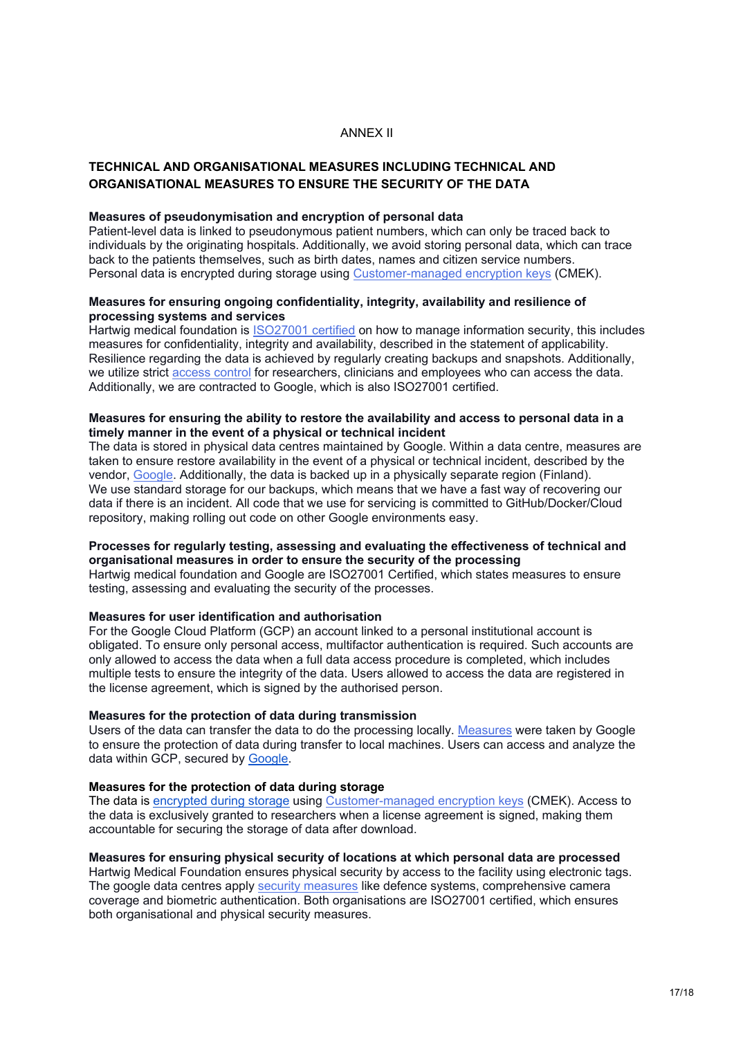### ANNEX II

# **TECHNICAL AND ORGANISATIONAL MEASURES INCLUDING TECHNICAL AND ORGANISATIONAL MEASURES TO ENSURE THE SECURITY OF THE DATA**

#### **Measures of pseudonymisation and encryption of personal data**

Patient-level data is linked to pseudonymous patient numbers, which can only be traced back to individuals by the originating hospitals. Additionally, we avoid storing personal data, which can trace back to the patients themselves, such as birth dates, names and citizen service numbers. Personal data is encrypted during storage using Customer-managed encryption keys (CMEK).

#### **Measures for ensuring ongoing confidentiality, integrity, availability and resilience of processing systems and services**

Hartwig medical foundation is ISO27001 certified on how to manage information security, this includes measures for confidentiality, integrity and availability, described in the statement of applicability. Resilience regarding the data is achieved by regularly creating backups and snapshots. Additionally, we utilize strict access control for researchers, clinicians and employees who can access the data. Additionally, we are contracted to Google, which is also ISO27001 certified.

### **Measures for ensuring the ability to restore the availability and access to personal data in a timely manner in the event of a physical or technical incident**

The data is stored in physical data centres maintained by Google. Within a data centre, measures are taken to ensure restore availability in the event of a physical or technical incident, described by the vendor, Google. Additionally, the data is backed up in a physically separate region (Finland). We use standard storage for our backups, which means that we have a fast way of recovering our data if there is an incident. All code that we use for servicing is committed to GitHub/Docker/Cloud repository, making rolling out code on other Google environments easy.

#### **Processes for regularly testing, assessing and evaluating the effectiveness of technical and organisational measures in order to ensure the security of the processing**

Hartwig medical foundation and Google are ISO27001 Certified, which states measures to ensure testing, assessing and evaluating the security of the processes.

## **Measures for user identification and authorisation**

For the Google Cloud Platform (GCP) an account linked to a personal institutional account is obligated. To ensure only personal access, multifactor authentication is required. Such accounts are only allowed to access the data when a full data access procedure is completed, which includes multiple tests to ensure the integrity of the data. Users allowed to access the data are registered in the license agreement, which is signed by the authorised person.

#### **Measures for the protection of data during transmission**

Users of the data can transfer the data to do the processing locally. Measures were taken by Google to ensure the protection of data during transfer to local machines. Users can access and analyze the data within GCP, secured by Google.

## **Measures for the protection of data during storage**

The data is encrypted during storage using Customer-managed encryption keys (CMEK). Access to the data is exclusively granted to researchers when a license agreement is signed, making them accountable for securing the storage of data after download.

## **Measures for ensuring physical security of locations at which personal data are processed**

Hartwig Medical Foundation ensures physical security by access to the facility using electronic tags. The google data centres apply security measures like defence systems, comprehensive camera coverage and biometric authentication. Both organisations are ISO27001 certified, which ensures both organisational and physical security measures.